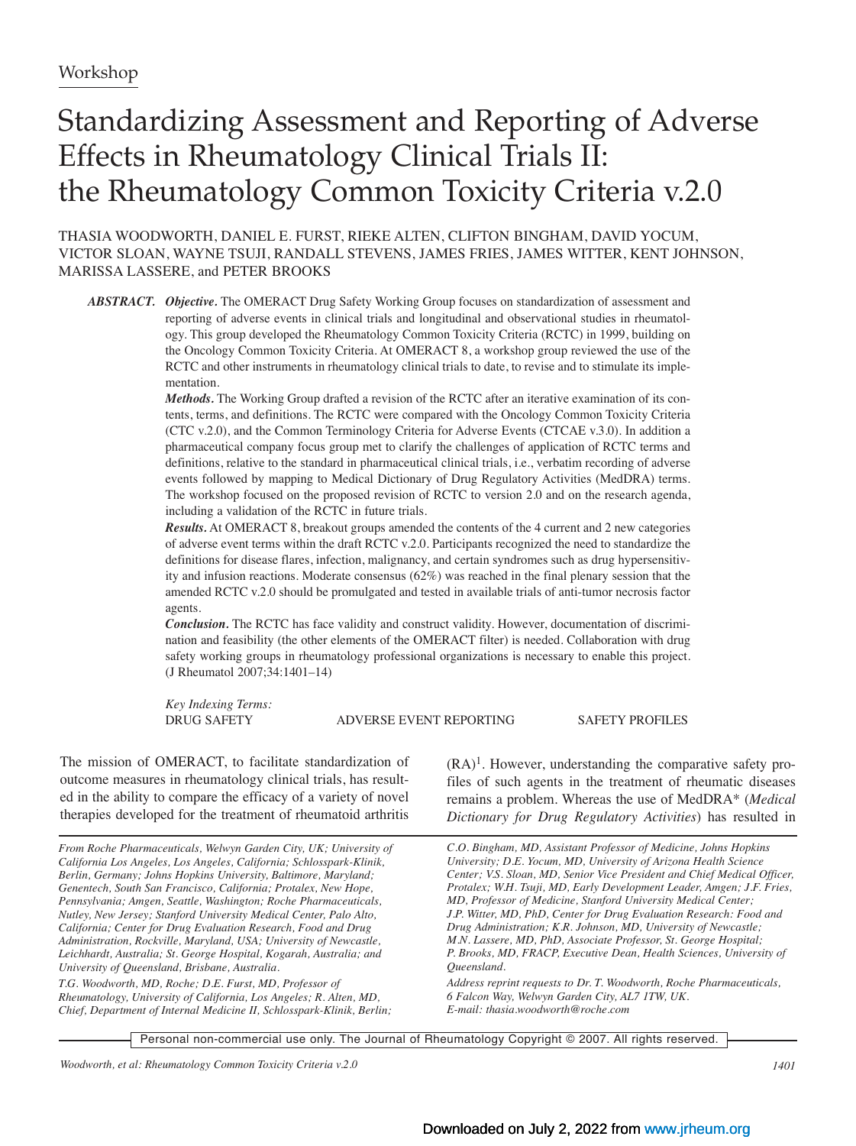# Standardizing Assessment and Reporting of Adverse Effects in Rheumatology Clinical Trials II: the Rheumatology Common Toxicity Criteria v.2.0

THASIA WOODWORTH, DANIEL E. FURST, RIEKE ALTEN, CLIFTON BINGHAM, DAVID YOCUM, VICTOR SLOAN, WAYNE TSUJI, RANDALL STEVENS, JAMES FRIES, JAMES WITTER, KENT JOHNSON, MARISSA LASSERE, and PETER BROOKS

*ABSTRACT. Objective.* The OMERACT Drug Safety Working Group focuses on standardization of assessment and reporting of adverse events in clinical trials and longitudinal and observational studies in rheumatology. This group developed the Rheumatology Common Toxicity Criteria (RCTC) in 1999, building on the Oncology Common Toxicity Criteria. At OMERACT 8, a workshop group reviewed the use of the RCTC and other instruments in rheumatology clinical trials to date, to revise and to stimulate its implementation.

*Methods.* The Working Group drafted a revision of the RCTC after an iterative examination of its contents, terms, and definitions. The RCTC were compared with the Oncology Common Toxicity Criteria (CTC v.2.0), and the Common Terminology Criteria for Adverse Events (CTCAE v.3.0). In addition a pharmaceutical company focus group met to clarify the challenges of application of RCTC terms and definitions, relative to the standard in pharmaceutical clinical trials, i.e., verbatim recording of adverse events followed by mapping to Medical Dictionary of Drug Regulatory Activities (MedDRA) terms. The workshop focused on the proposed revision of RCTC to version 2.0 and on the research agenda, including a validation of the RCTC in future trials.

*Results.* At OMERACT 8, breakout groups amended the contents of the 4 current and 2 new categories of adverse event terms within the draft RCTC v.2.0. Participants recognized the need to standardize the definitions for disease flares, infection, malignancy, and certain syndromes such as drug hypersensitivity and infusion reactions. Moderate consensus (62%) was reached in the final plenary session that the amended RCTC v.2.0 should be promulgated and tested in available trials of anti-tumor necrosis factor agents.

*Conclusion.* The RCTC has face validity and construct validity. However, documentation of discrimination and feasibility (the other elements of the OMERACT filter) is needed. Collaboration with drug safety working groups in rheumatology professional organizations is necessary to enable this project. (J Rheumatol 2007;34:1401–14)

*Key Indexing Terms:*

DRUG SAFETY ADVERSE EVENT REPORTING SAFETY PROFILES

The mission of OMERACT, to facilitate standardization of outcome measures in rheumatology clinical trials, has resulted in the ability to compare the efficacy of a variety of novel therapies developed for the treatment of rheumatoid arthritis

*From Roche Pharmaceuticals, Welwyn Garden City, UK; University of California Los Angeles, Los Angeles, California; Schlosspark-Klinik, Berlin, Germany; Johns Hopkins University, Baltimore, Maryland; Genentech, South San Francisco, California; Protalex, New Hope, Pennsylvania; Amgen, Seattle, Washington; Roche Pharmaceuticals, Nutley, New Jersey; Stanford University Medical Center, Palo Alto, California; Center for Drug Evaluation Research, Food and Drug Administration, Rockville, Maryland, USA; University of Newcastle, Leichhardt, Australia; St. George Hospital, Kogarah, Australia; and University of Queensland, Brisbane, Australia.*

*T.G. Woodworth, MD, Roche; D.E. Furst, MD, Professor of Rheumatology, University of California, Los Angeles; R. Alten, MD, Chief, Department of Internal Medicine II, Schlosspark-Klinik, Berlin;*

 $(RA)^1$ . However, understanding the comparative safety profiles of such agents in the treatment of rheumatic diseases remains a problem. Whereas the use of MedDRA\* (*Medical Dictionary for Drug Regulatory Activities*) has resulted in

*C.O. Bingham, MD, Assistant Professor of Medicine, Johns Hopkins University; D.E. Yocum, MD, University of Arizona Health Science Center; V.S. Sloan, MD, Senior Vice President and Chief Medical Officer, Protalex; W.H. Tsuji, MD, Early Development Leader, Amgen; J.F. Fries, MD, Professor of Medicine, Stanford University Medical Center; J.P. Witter, MD, PhD, Center for Drug Evaluation Research: Food and Drug Administration; K.R. Johnson, MD, University of Newcastle; M.N. Lassere, MD, PhD, Associate Professor, St. George Hospital; P. Brooks, MD, FRACP, Executive Dean, Health Sciences, University of Queensland.*

*Address reprint requests to Dr. T. Woodworth, Roche Pharmaceuticals, 6 Falcon Way, Welwyn Garden City, AL7 1TW, UK. E-mail: thasia.woodworth@roche.com*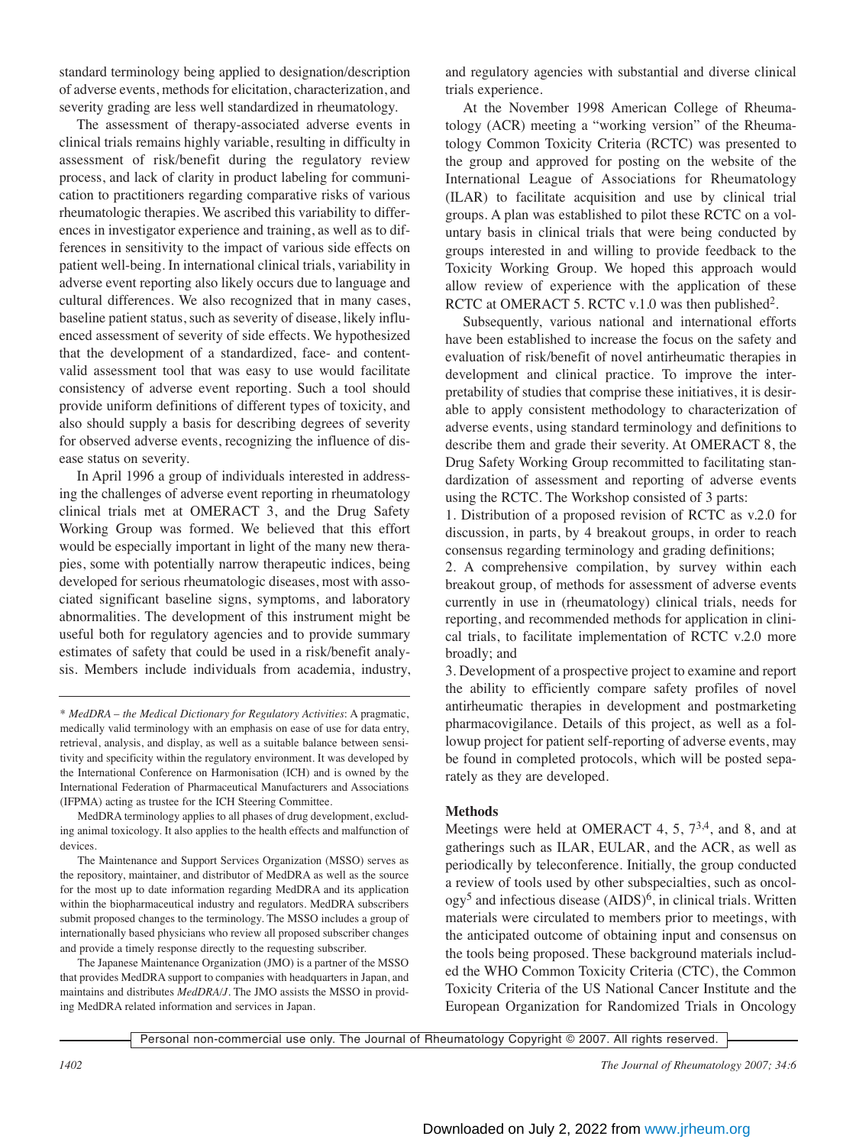standard terminology being applied to designation/description of adverse events, methods for elicitation, characterization, and severity grading are less well standardized in rheumatology.

The assessment of therapy-associated adverse events in clinical trials remains highly variable, resulting in difficulty in assessment of risk/benefit during the regulatory review process, and lack of clarity in product labeling for communication to practitioners regarding comparative risks of various rheumatologic therapies. We ascribed this variability to differences in investigator experience and training, as well as to differences in sensitivity to the impact of various side effects on patient well-being. In international clinical trials, variability in adverse event reporting also likely occurs due to language and cultural differences. We also recognized that in many cases, baseline patient status, such as severity of disease, likely influenced assessment of severity of side effects. We hypothesized that the development of a standardized, face- and contentvalid assessment tool that was easy to use would facilitate consistency of adverse event reporting. Such a tool should provide uniform definitions of different types of toxicity, and also should supply a basis for describing degrees of severity for observed adverse events, recognizing the influence of disease status on severity.

In April 1996 a group of individuals interested in addressing the challenges of adverse event reporting in rheumatology clinical trials met at OMERACT 3, and the Drug Safety Working Group was formed. We believed that this effort would be especially important in light of the many new therapies, some with potentially narrow therapeutic indices, being developed for serious rheumatologic diseases, most with associated significant baseline signs, symptoms, and laboratory abnormalities. The development of this instrument might be useful both for regulatory agencies and to provide summary estimates of safety that could be used in a risk/benefit analysis. Members include individuals from academia, industry,

MedDRA terminology applies to all phases of drug development, excluding animal toxicology. It also applies to the health effects and malfunction of devices.

The Maintenance and Support Services Organization (MSSO) serves as the repository, maintainer, and distributor of MedDRA as well as the source for the most up to date information regarding MedDRA and its application within the biopharmaceutical industry and regulators. MedDRA subscribers submit proposed changes to the terminology. The MSSO includes a group of internationally based physicians who review all proposed subscriber changes and provide a timely response directly to the requesting subscriber.

The Japanese Maintenance Organization (JMO) is a partner of the MSSO that provides MedDRA support to companies with headquarters in Japan, and maintains and distributes *MedDRA/J*. The JMO assists the MSSO in providing MedDRA related information and services in Japan.

and regulatory agencies with substantial and diverse clinical trials experience.

At the November 1998 American College of Rheumatology (ACR) meeting a "working version" of the Rheumatology Common Toxicity Criteria (RCTC) was presented to the group and approved for posting on the website of the International League of Associations for Rheumatology (ILAR) to facilitate acquisition and use by clinical trial groups. A plan was established to pilot these RCTC on a voluntary basis in clinical trials that were being conducted by groups interested in and willing to provide feedback to the Toxicity Working Group. We hoped this approach would allow review of experience with the application of these RCTC at OMERACT 5. RCTC v.1.0 was then published<sup>2</sup>.

Subsequently, various national and international efforts have been established to increase the focus on the safety and evaluation of risk/benefit of novel antirheumatic therapies in development and clinical practice. To improve the interpretability of studies that comprise these initiatives, it is desirable to apply consistent methodology to characterization of adverse events, using standard terminology and definitions to describe them and grade their severity. At OMERACT 8, the Drug Safety Working Group recommitted to facilitating standardization of assessment and reporting of adverse events using the RCTC. The Workshop consisted of 3 parts:

1. Distribution of a proposed revision of RCTC as v.2.0 for discussion, in parts, by 4 breakout groups, in order to reach consensus regarding terminology and grading definitions;

2. A comprehensive compilation, by survey within each breakout group, of methods for assessment of adverse events currently in use in (rheumatology) clinical trials, needs for reporting, and recommended methods for application in clinical trials, to facilitate implementation of RCTC v.2.0 more broadly; and

3. Development of a prospective project to examine and report the ability to efficiently compare safety profiles of novel antirheumatic therapies in development and postmarketing pharmacovigilance. Details of this project, as well as a followup project for patient self-reporting of adverse events, may be found in completed protocols, which will be posted separately as they are developed.

#### **Methods**

Meetings were held at OMERACT 4, 5,  $7^{3,4}$ , and 8, and at gatherings such as ILAR, EULAR, and the ACR, as well as periodically by teleconference. Initially, the group conducted a review of tools used by other subspecialties, such as oncol $ogy<sup>5</sup>$  and infectious disease  $(AIDS)<sup>6</sup>$ , in clinical trials. Written materials were circulated to members prior to meetings, with the anticipated outcome of obtaining input and consensus on the tools being proposed. These background materials included the WHO Common Toxicity Criteria (CTC), the Common Toxicity Criteria of the US National Cancer Institute and the European Organization for Randomized Trials in Oncology

Personal non-commercial use only. The Journal of Rheumatology Copyright © 2007. All rights reserved.

<sup>\*</sup> *MedDRA – the Medical Dictionary for Regulatory Activities*: A pragmatic, medically valid terminology with an emphasis on ease of use for data entry, retrieval, analysis, and display, as well as a suitable balance between sensitivity and specificity within the regulatory environment. It was developed by the International Conference on Harmonisation (ICH) and is owned by the International Federation of Pharmaceutical Manufacturers and Associations (IFPMA) acting as trustee for the ICH Steering Committee.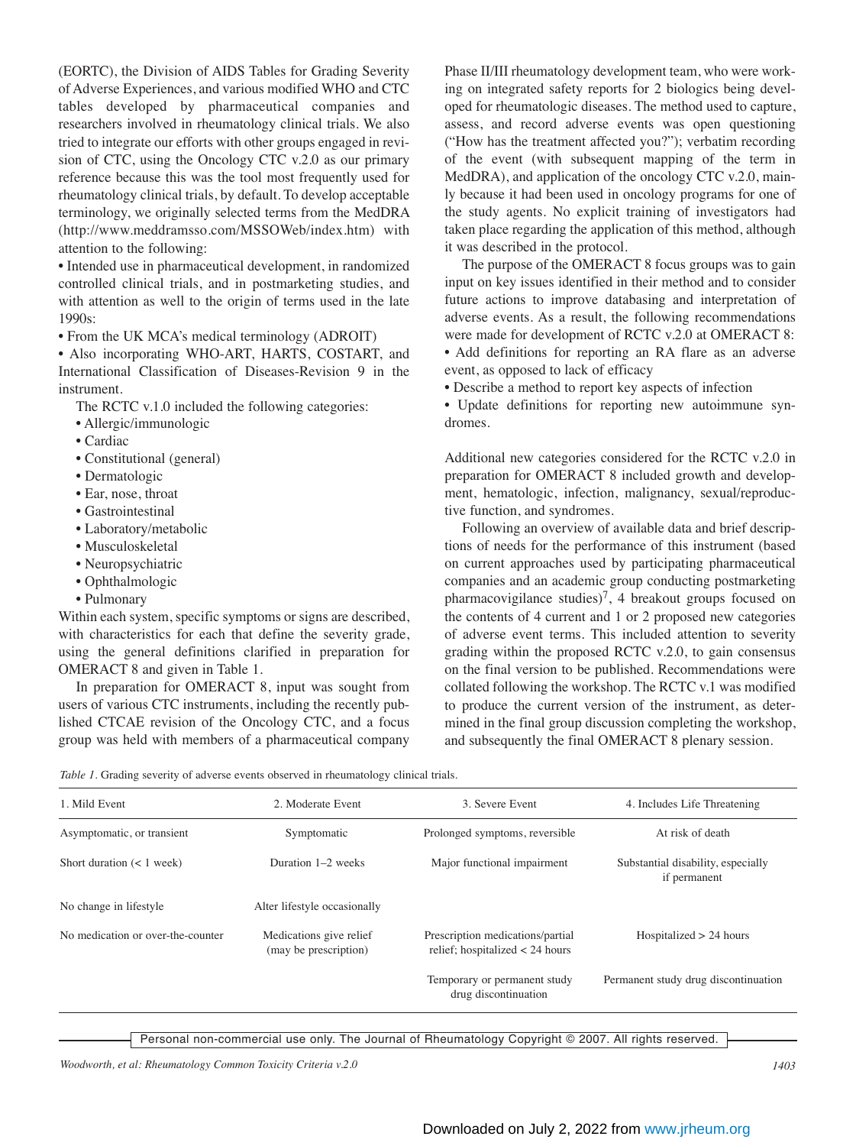(EORTC), the Division of AIDS Tables for Grading Severity of Adverse Experiences, and various modified WHO and CTC tables developed by pharmaceutical companies and researchers involved in rheumatology clinical trials. We also tried to integrate our efforts with other groups engaged in revision of CTC, using the Oncology CTC v.2.0 as our primary reference because this was the tool most frequently used for rheumatology clinical trials, by default. To develop acceptable terminology, we originally selected terms from the MedDRA (http://www.meddramsso.com/MSSOWeb/index.htm) with attention to the following:

• Intended use in pharmaceutical development, in randomized controlled clinical trials, and in postmarketing studies, and with attention as well to the origin of terms used in the late 1990s:

• From the UK MCA's medical terminology (ADROIT)

• Also incorporating WHO-ART, HARTS, COSTART, and International Classification of Diseases-Revision 9 in the instrument.

The RCTC v.1.0 included the following categories:

- Allergic/immunologic
- Cardiac
- Constitutional (general)
- Dermatologic
- Ear, nose, throat
- Gastrointestinal
- Laboratory/metabolic
- Musculoskeletal
- Neuropsychiatric
- Ophthalmologic
- Pulmonary

Within each system, specific symptoms or signs are described, with characteristics for each that define the severity grade, using the general definitions clarified in preparation for OMERACT 8 and given in Table 1.

In preparation for OMERACT 8, input was sought from users of various CTC instruments, including the recently published CTCAE revision of the Oncology CTC, and a focus group was held with members of a pharmaceutical company Phase II/III rheumatology development team, who were working on integrated safety reports for 2 biologics being developed for rheumatologic diseases. The method used to capture, assess, and record adverse events was open questioning ("How has the treatment affected you?"); verbatim recording of the event (with subsequent mapping of the term in MedDRA), and application of the oncology CTC v.2.0, mainly because it had been used in oncology programs for one of the study agents. No explicit training of investigators had taken place regarding the application of this method, although it was described in the protocol.

The purpose of the OMERACT 8 focus groups was to gain input on key issues identified in their method and to consider future actions to improve databasing and interpretation of adverse events. As a result, the following recommendations were made for development of RCTC v.2.0 at OMERACT 8: • Add definitions for reporting an RA flare as an adverse event, as opposed to lack of efficacy

• Describe a method to report key aspects of infection

• Update definitions for reporting new autoimmune syndromes.

Additional new categories considered for the RCTC v.2.0 in preparation for OMERACT 8 included growth and development, hematologic, infection, malignancy, sexual/reproductive function, and syndromes.

Following an overview of available data and brief descriptions of needs for the performance of this instrument (based on current approaches used by participating pharmaceutical companies and an academic group conducting postmarketing pharmacovigilance studies)<sup>7</sup>, 4 breakout groups focused on the contents of 4 current and 1 or 2 proposed new categories of adverse event terms. This included attention to severity grading within the proposed RCTC v.2.0, to gain consensus on the final version to be published. Recommendations were collated following the workshop. The RCTC v.1 was modified to produce the current version of the instrument, as determined in the final group discussion completing the workshop, and subsequently the final OMERACT 8 plenary session.

*Table 1.* Grading severity of adverse events observed in rheumatology clinical trials.

| 1. Mild Event                     | 2. Moderate Event                                | 3. Severe Event                                                       | 4. Includes Life Threatening                       |
|-----------------------------------|--------------------------------------------------|-----------------------------------------------------------------------|----------------------------------------------------|
| Asymptomatic, or transient        | Symptomatic                                      | Prolonged symptoms, reversible                                        | At risk of death                                   |
| Short duration $(< 1$ week)       | Duration 1-2 weeks                               | Major functional impairment                                           | Substantial disability, especially<br>if permanent |
| No change in lifestyle.           | Alter lifestyle occasionally                     |                                                                       |                                                    |
| No medication or over-the-counter | Medications give relief<br>(may be prescription) | Prescription medications/partial<br>relief; hospitalized $<$ 24 hours | Hospitalized $> 24$ hours                          |
|                                   |                                                  | Temporary or permanent study<br>drug discontinuation                  | Permanent study drug discontinuation               |

*Woodworth, et al: Rheumatology Common Toxicity Criteria v.2.0 1403*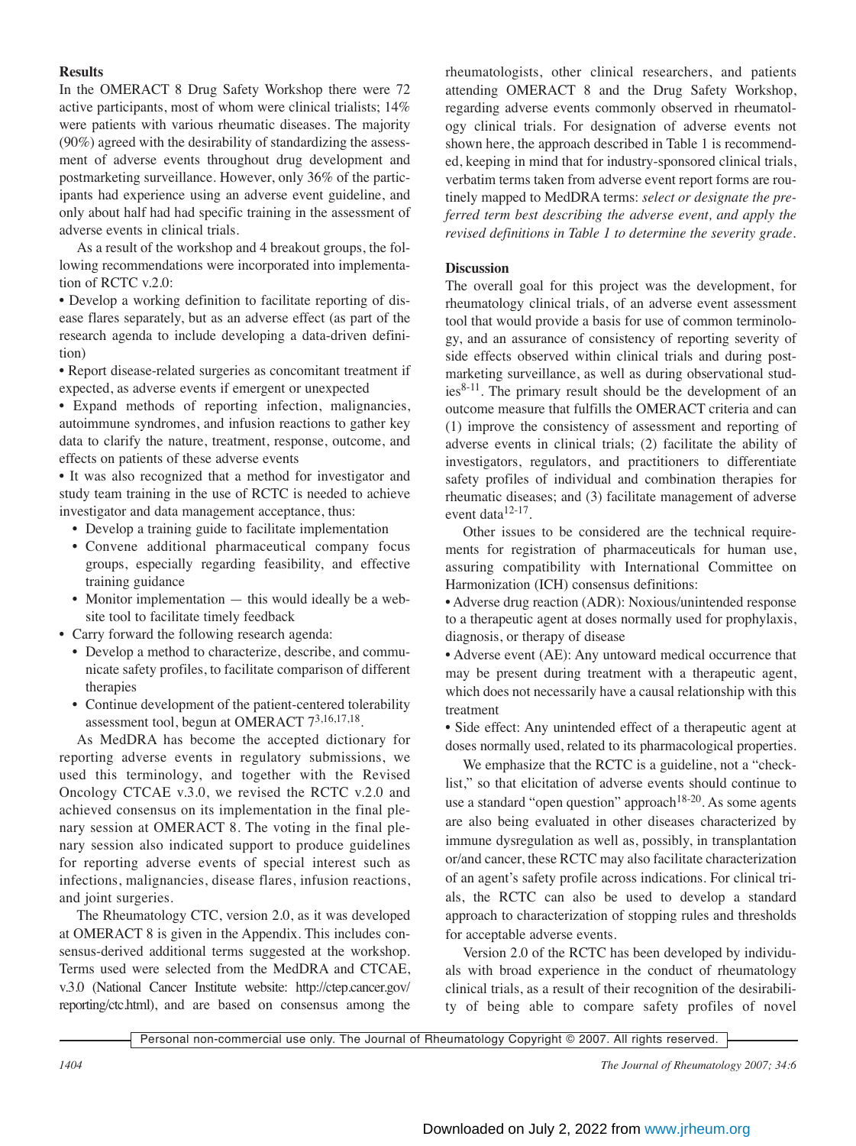## **Results**

In the OMERACT 8 Drug Safety Workshop there were 72 active participants, most of whom were clinical trialists; 14% were patients with various rheumatic diseases. The majority (90%) agreed with the desirability of standardizing the assessment of adverse events throughout drug development and postmarketing surveillance. However, only 36% of the participants had experience using an adverse event guideline, and only about half had had specific training in the assessment of adverse events in clinical trials.

As a result of the workshop and 4 breakout groups, the following recommendations were incorporated into implementation of RCTC v.2.0:

• Develop a working definition to facilitate reporting of disease flares separately, but as an adverse effect (as part of the research agenda to include developing a data-driven definition)

• Report disease-related surgeries as concomitant treatment if expected, as adverse events if emergent or unexpected

• Expand methods of reporting infection, malignancies, autoimmune syndromes, and infusion reactions to gather key data to clarify the nature, treatment, response, outcome, and effects on patients of these adverse events

• It was also recognized that a method for investigator and study team training in the use of RCTC is needed to achieve investigator and data management acceptance, thus:

- Develop a training guide to facilitate implementation
- Convene additional pharmaceutical company focus groups, especially regarding feasibility, and effective training guidance
- Monitor implementation this would ideally be a website tool to facilitate timely feedback
- Carry forward the following research agenda:
	- Develop a method to characterize, describe, and communicate safety profiles, to facilitate comparison of different therapies
	- Continue development of the patient-centered tolerability assessment tool, begun at OMERACT 73,16,17,18.

As MedDRA has become the accepted dictionary for reporting adverse events in regulatory submissions, we used this terminology, and together with the Revised Oncology CTCAE v.3.0, we revised the RCTC v.2.0 and achieved consensus on its implementation in the final plenary session at OMERACT 8. The voting in the final plenary session also indicated support to produce guidelines for reporting adverse events of special interest such as infections, malignancies, disease flares, infusion reactions, and joint surgeries.

The Rheumatology CTC, version 2.0, as it was developed at OMERACT 8 is given in the Appendix. This includes consensus-derived additional terms suggested at the workshop. Terms used were selected from the MedDRA and CTCAE, v.3.0 (National Cancer Institute website: http://ctep.cancer.gov/ reporting/ctc.html), and are based on consensus among the

rheumatologists, other clinical researchers, and patients attending OMERACT 8 and the Drug Safety Workshop, regarding adverse events commonly observed in rheumatology clinical trials. For designation of adverse events not shown here, the approach described in Table 1 is recommended, keeping in mind that for industry-sponsored clinical trials, verbatim terms taken from adverse event report forms are routinely mapped to MedDRA terms: *select or designate the preferred term best describing the adverse event, and apply the revised definitions in Table 1 to determine the severity grade.*

### **Discussion**

The overall goal for this project was the development, for rheumatology clinical trials, of an adverse event assessment tool that would provide a basis for use of common terminology, and an assurance of consistency of reporting severity of side effects observed within clinical trials and during postmarketing surveillance, as well as during observational stud $ies<sup>8-11</sup>$ . The primary result should be the development of an outcome measure that fulfills the OMERACT criteria and can (1) improve the consistency of assessment and reporting of adverse events in clinical trials; (2) facilitate the ability of investigators, regulators, and practitioners to differentiate safety profiles of individual and combination therapies for rheumatic diseases; and (3) facilitate management of adverse event data<sup>12-17</sup>.

Other issues to be considered are the technical requirements for registration of pharmaceuticals for human use, assuring compatibility with International Committee on Harmonization (ICH) consensus definitions:

• Adverse drug reaction (ADR): Noxious/unintended response to a therapeutic agent at doses normally used for prophylaxis, diagnosis, or therapy of disease

• Adverse event (AE): Any untoward medical occurrence that may be present during treatment with a therapeutic agent, which does not necessarily have a causal relationship with this treatment

• Side effect: Any unintended effect of a therapeutic agent at doses normally used, related to its pharmacological properties.

We emphasize that the RCTC is a guideline, not a "checklist," so that elicitation of adverse events should continue to use a standard "open question" approach<sup>18-20</sup>. As some agents are also being evaluated in other diseases characterized by immune dysregulation as well as, possibly, in transplantation or/and cancer, these RCTC may also facilitate characterization of an agent's safety profile across indications. For clinical trials, the RCTC can also be used to develop a standard approach to characterization of stopping rules and thresholds for acceptable adverse events.

Version 2.0 of the RCTC has been developed by individuals with broad experience in the conduct of rheumatology clinical trials, as a result of their recognition of the desirability of being able to compare safety profiles of novel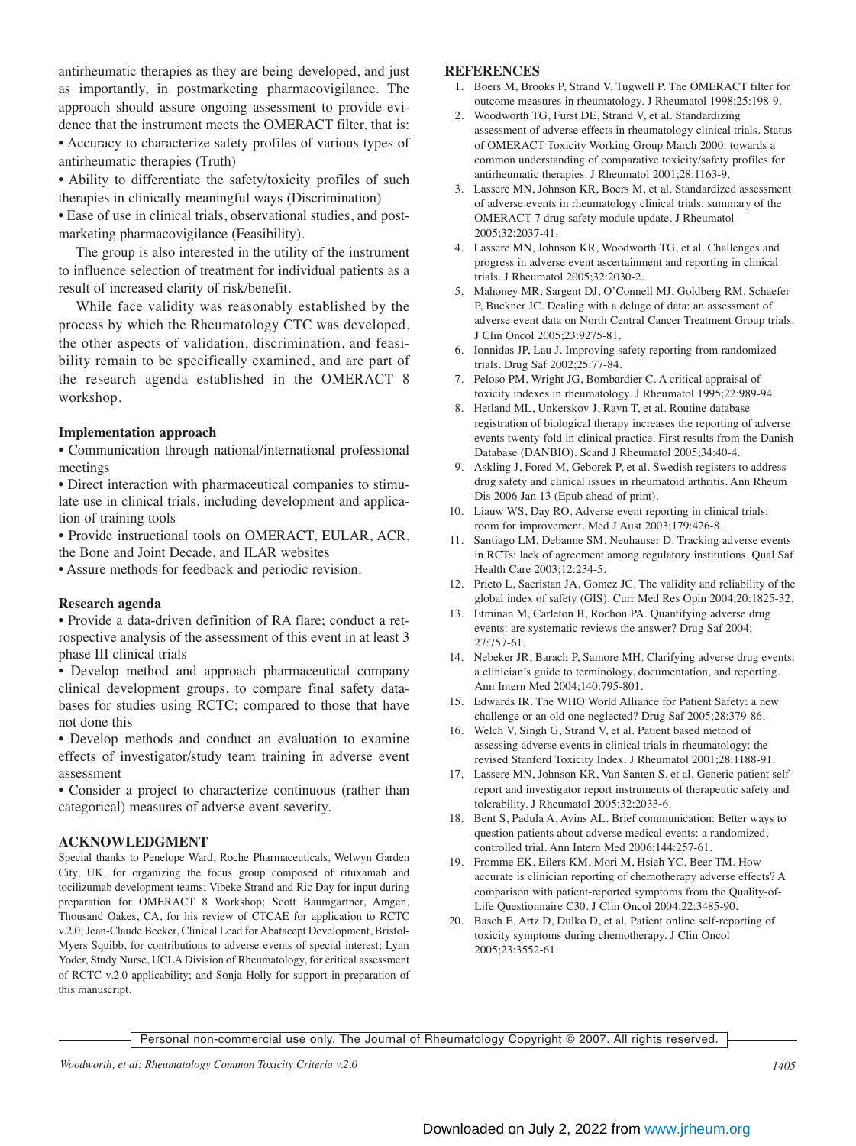antirheumatic therapies as they are being developed, and just as importantly, in postmarketing pharmacovigilance. The approach should assure ongoing assessment to provide evidence that the instrument meets the OMERACT filter, that is: • Accuracy to characterize safety profiles of various types of antirheumatic therapies (Truth)

• Ability to differentiate the safety/toxicity profiles of such therapies in clinically meaningful ways (Discrimination)

• Ease of use in clinical trials, observational studies, and postmarketing pharmacovigilance (Feasibility).

The group is also interested in the utility of the instrument to influence selection of treatment for individual patients as a result of increased clarity of risk/benefit.

While face validity was reasonably established by the process by which the Rheumatology CTC was developed, the other aspects of validation, discrimination, and feasibility remain to be specifically examined, and are part of the research agenda established in the OMERACT 8 workshop.

#### **Implementation approach**

• Communication through national/international professional meetings

• Direct interaction with pharmaceutical companies to stimulate use in clinical trials, including development and application of training tools

• Provide instructional tools on OMERACT, EULAR, ACR, the Bone and Joint Decade, and ILAR websites

• Assure methods for feedback and periodic revision.

#### **Research agenda**

• Provide a data-driven definition of RA flare; conduct a retrospective analysis of the assessment of this event in at least 3 phase III clinical trials

• Develop method and approach pharmaceutical company clinical development groups, to compare final safety databases for studies using RCTC; compared to those that have not done this

• Develop methods and conduct an evaluation to examine effects of investigator/study team training in adverse event assessment

• Consider a project to characterize continuous (rather than categorical) measures of adverse event severity.

#### **ACKNOWLEDGMENT**

Special thanks to Penelope Ward, Roche Pharmaceuticals, Welwyn Garden City, UK, for organizing the focus group composed of rituxamab and tocilizumab development teams; Vibeke Strand and Ric Day for input during preparation for OMERACT 8 Workshop; Scott Baumgartner, Amgen, Thousand Oakes, CA, for his review of CTCAE for application to RCTC v.2.0; Jean-Claude Becker, Clinical Lead for Abatacept Development, Bristol-Myers Squibb, for contributions to adverse events of special interest; Lynn Yoder, Study Nurse, UCLA Division of Rheumatology, for critical assessment of RCTC v.2.0 applicability; and Sonja Holly for support in preparation of this manuscript.

#### **REFERENCES**

- 1. Boers M, Brooks P, Strand V, Tugwell P. The OMERACT filter for outcome measures in rheumatology. J Rheumatol 1998;25:198-9.
- 2. Woodworth TG, Furst DE, Strand V, et al. Standardizing assessment of adverse effects in rheumatology clinical trials. Status of OMERACT Toxicity Working Group March 2000: towards a common understanding of comparative toxicity/safety profiles for antirheumatic therapies. J Rheumatol 2001;28:1163-9.
- 3. Lassere MN, Johnson KR, Boers M, et al. Standardized assessment of adverse events in rheumatology clinical trials: summary of the OMERACT 7 drug safety module update. J Rheumatol 2005;32:2037-41.
- 4. Lassere MN, Johnson KR, Woodworth TG, et al. Challenges and progress in adverse event ascertainment and reporting in clinical trials. J Rheumatol 2005;32:2030-2.
- 5. Mahoney MR, Sargent DJ, O'Connell MJ, Goldberg RM, Schaefer P, Buckner JC. Dealing with a deluge of data: an assessment of adverse event data on North Central Cancer Treatment Group trials. J Clin Oncol 2005;23:9275-81.
- 6. Ionnidas JP, Lau J. Improving safety reporting from randomized trials. Drug Saf 2002;25:77-84.
- 7. Peloso PM, Wright JG, Bombardier C. A critical appraisal of toxicity indexes in rheumatology. J Rheumatol 1995;22:989-94.
- 8. Hetland ML, Unkerskov J, Ravn T, et al. Routine database registration of biological therapy increases the reporting of adverse events twenty-fold in clinical practice. First results from the Danish Database (DANBIO). Scand J Rheumatol 2005;34:40-4.
- 9. Askling J, Fored M, Geborek P, et al. Swedish registers to address drug safety and clinical issues in rheumatoid arthritis. Ann Rheum Dis 2006 Jan 13 (Epub ahead of print).
- 10. Liauw WS, Day RO. Adverse event reporting in clinical trials: room for improvement. Med J Aust 2003;179:426-8.
- 11. Santiago LM, Debanne SM, Neuhauser D. Tracking adverse events in RCTs: lack of agreement among regulatory institutions. Qual Saf Health Care 2003;12:234-5.
- 12. Prieto L, Sacristan JA, Gomez JC. The validity and reliability of the global index of safety (GIS). Curr Med Res Opin 2004;20:1825-32.
- 13. Etminan M, Carleton B, Rochon PA. Quantifying adverse drug events: are systematic reviews the answer? Drug Saf 2004; 27:757-61.
- 14. Nebeker JR, Barach P, Samore MH. Clarifying adverse drug events: a clinician's guide to terminology, documentation, and reporting. Ann Intern Med 2004;140:795-801.
- 15. Edwards IR. The WHO World Alliance for Patient Safety: a new challenge or an old one neglected? Drug Saf 2005;28:379-86.
- 16. Welch V, Singh G, Strand V, et al. Patient based method of assessing adverse events in clinical trials in rheumatology: the revised Stanford Toxicity Index. J Rheumatol 2001;28:1188-91.
- 17. Lassere MN, Johnson KR, Van Santen S, et al. Generic patient selfreport and investigator report instruments of therapeutic safety and tolerability. J Rheumatol 2005;32:2033-6.
- 18. Bent S, Padula A, Avins AL. Brief communication: Better ways to question patients about adverse medical events: a randomized, controlled trial. Ann Intern Med 2006;144:257-61.
- 19. Fromme EK, Eilers KM, Mori M, Hsieh YC, Beer TM. How accurate is clinician reporting of chemotherapy adverse effects? A comparison with patient-reported symptoms from the Quality-of-Life Questionnaire C30. J Clin Oncol 2004;22:3485-90.
- 20. Basch E, Artz D, Dulko D, et al. Patient online self-reporting of toxicity symptoms during chemotherapy. J Clin Oncol 2005;23:3552-61.

Personal non-commercial use only. The Journal of Rheumatology Copyright © 2007. All rights reserved.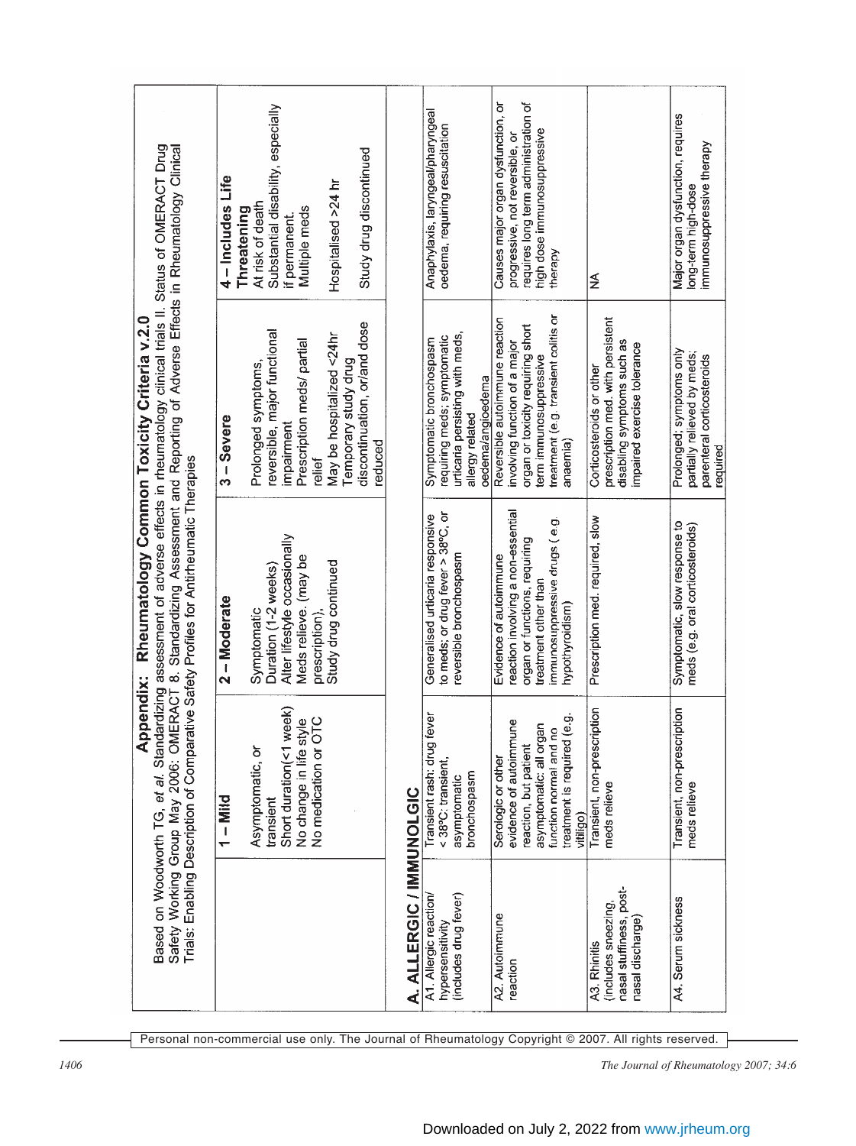|                                                                                                                                                                                                                                                                                                                                                                 | Substantial disability, especially<br>Study drug discontinued<br>4 – Includes Life<br>Hospitalised >24 hr<br>At risk of death<br>Multiple meds<br>Threatening<br>if permanent.                                            |                          | Anaphylaxis, laryngeal/pharyngeal<br>oedema, requiring resuscitation                                                               | Causes major organ dysfunction, or<br>requires long term administration of<br>high dose immunosuppressive<br>progressive, not reversible, or<br>therapy                            | ≨                                                                                                                          | Major organ dysfunction, requires<br>mmunosuppressive therapy<br>long-term high-dose              |
|-----------------------------------------------------------------------------------------------------------------------------------------------------------------------------------------------------------------------------------------------------------------------------------------------------------------------------------------------------------------|---------------------------------------------------------------------------------------------------------------------------------------------------------------------------------------------------------------------------|--------------------------|------------------------------------------------------------------------------------------------------------------------------------|------------------------------------------------------------------------------------------------------------------------------------------------------------------------------------|----------------------------------------------------------------------------------------------------------------------------|---------------------------------------------------------------------------------------------------|
| Rheumatology Common Toxicity Criteria v.2.0                                                                                                                                                                                                                                                                                                                     | discontinuation, or/and dose<br>reversible, major functional<br>May be hospitalized <24hr<br>Prescription meds/ partial<br>Temporary study drug<br>Prolonged symptoms,<br>$3 -$ Severe<br>impairment<br>reduced<br>relief |                          | urticaria persisting with meds,<br>requiring meds; symptomatic<br>Symptomatic bronchospasm<br>oedema/angioedema<br>allergy related | treatment (e.g. transient colitis or<br>Reversible autoimmune reaction<br>organ or toxicity requiring short<br>involving function of a major<br>term immunosuppressive<br>anaemia) | prescription med. with persistent<br>disabling symptoms such as<br>impaired exercise tolerance<br>Corticosteroids or other | Prolonged; symptoms only<br>partially relieved by meds;<br>parenteral corticosteroids<br>required |
| Based on Woodworth TG, et al. Standardizing assessment of adverse effects in rheumatology clinical trials II. Status of OMERACT Drug<br>Safety Working Group May 2006: OMERACT 8. Standardizing Assessment and Reporting of Adverse Effects in Rheumatology Clinical<br>Trials: Enabling Description of Comparative Safety Profiles for Antirheumatic Therapies | Alter lifestyle occasionally<br>Meds relieve. (may be<br>Study drug continued<br>Duration (1-2 weeks)<br>$2 -$ Moderate<br>Symptomatic<br>prescription),                                                                  |                          | to meds; or drug fever > 38°C, or<br>Generalised urticaria responsive<br>reversible bronchospasm                                   | reaction involving a non-essential<br>immunosuppressive drugs (e.g.<br>organ or functions, requiring<br>Evidence of autoimmune<br>treatment other than<br>hypothyroidism)          | Prescription med. required, slow                                                                                           | Symptomatic, slow response to<br>meds (e.g. oral corticosteroids)                                 |
| <b>Appendix:</b>                                                                                                                                                                                                                                                                                                                                                | week)<br>No medication or OTC<br>No change in life style<br>Short duration(<1<br>Asymptomatic, or<br>$1 -$ Mild<br>transient                                                                                              |                          | fever<br>Transient rash: drug<br>< 38°C: transient,<br>bronchospasm<br>asymptomatic                                                | treatment is required (e.g.<br>evidence of autoimmune<br>asymptomatic: all organ<br>function normal and no<br>reaction, but patient<br>Serologic or other<br>vitiligo)             | Transient, non-prescription<br>meds relieve                                                                                | Transient, non-prescription<br>meds relieve                                                       |
|                                                                                                                                                                                                                                                                                                                                                                 |                                                                                                                                                                                                                           | A. ALLERGIC / IMMUNOLGIC | A1. Allergic reaction/<br>(includes drug fever)<br>hypersensitivity                                                                | A2. Autoimmune<br>reaction                                                                                                                                                         | nasal stuffiness, post-<br>(includes sneezing,<br>nasal discharge)<br>A3. Rhinitis                                         | A4. Serum sickness                                                                                |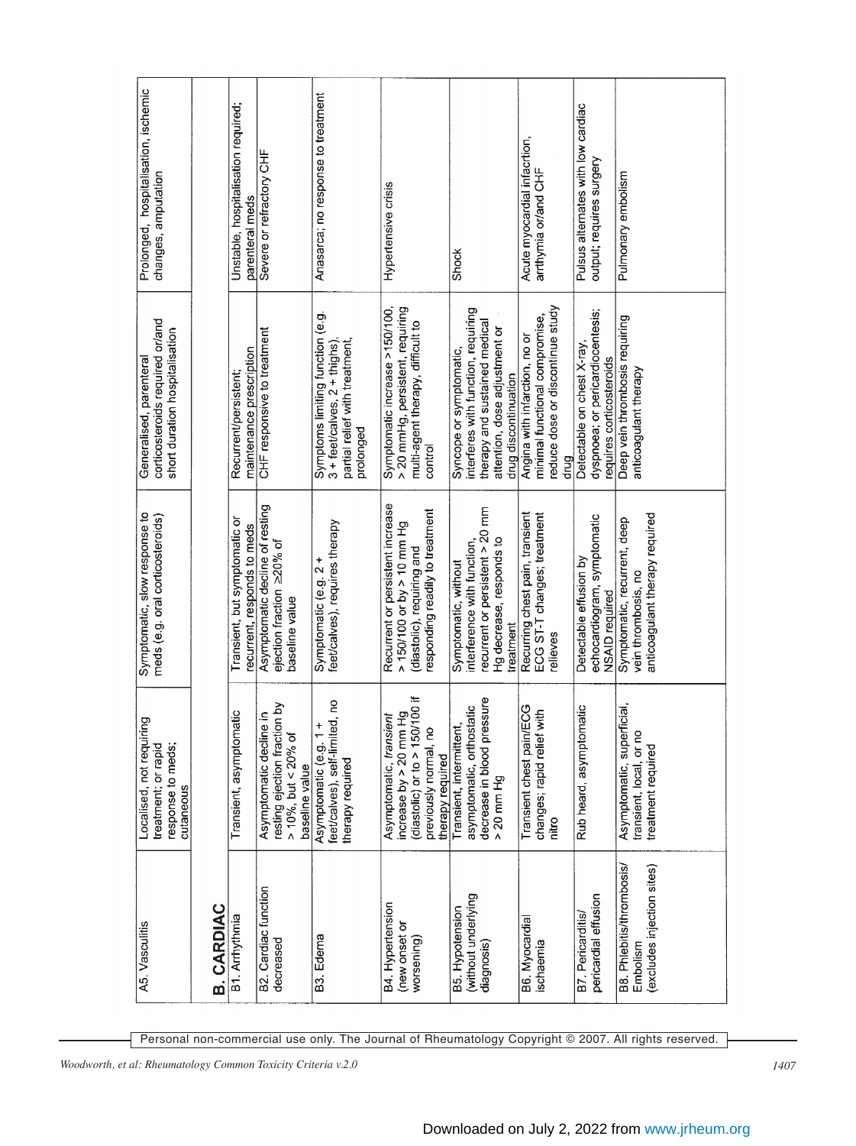| A5. Vasculitis                                                      | ing<br>Localised, not requir<br>treatment; or rapid<br>response to meds;<br>cutaneous                                              | Symptomatic, slow response to<br>meds (e.g. oral corticosteroids)                                                                   | corticosteroids required or/and<br>short duration hospitalisation<br>Generalised, parenteral                                                             | Prolonged, hospitalisation, ischemic<br>changes, amputation    |
|---------------------------------------------------------------------|------------------------------------------------------------------------------------------------------------------------------------|-------------------------------------------------------------------------------------------------------------------------------------|----------------------------------------------------------------------------------------------------------------------------------------------------------|----------------------------------------------------------------|
| <b>B. CARDIAC</b>                                                   |                                                                                                                                    |                                                                                                                                     |                                                                                                                                                          |                                                                |
| B1. Arrhythmia                                                      | Transient, asymptomatic                                                                                                            | Transient, but symptomatic or<br>recurrent, responds to meds                                                                        | maintenance prescription<br>Recurrent/persistent;                                                                                                        | Unstable, hospitalisation required;<br>parenteral meds         |
| B2. Cardiac function<br>decreased                                   | resting ejection fraction by<br>ile in<br>$> 10\%$ , but < 20% of<br>Asymptomatic declin<br>baseline value                         | Asymptomatic decline of resting<br>ejection fraction ≥20% of<br>baseline value                                                      | CHF responsive to treatment                                                                                                                              | Severe or refractory CHF                                       |
| B3. Edema                                                           | feet/calves), self-limited, no<br>÷<br>Asymptomatic (e.g. 1<br>therapy required                                                    | feet/calves), requires therapy<br>Symptomatic (e.g. 2 +                                                                             | Symptoms limiting function (e.g.<br>$3 + \text{feet}$ calves, $2 + \text{thighs}$ ),<br>partial relief with treatment,<br>prolonged                      | Anasarca; no response to treatment                             |
| B4. Hypertension<br>(new onset or<br>worsening)                     | (diastolic) or to > 150/100 if<br>increase by $>$ 20 mm Hg<br>Asymptomatic, transient<br>previously normal, no<br>therapy required | Recurrent or persistent increase<br>responding readily to treatment<br>$> 150/100$ or by $> 10$ mm Hg<br>(diastolic), requiring and | Symptomatic increase >150/100,<br>> 20 mmHg, persistent, requiring<br>multi-agent therapy, difficult to<br>control                                       | Hypertensive crisis                                            |
| (without underlying<br>B5. Hypotension<br>diagnosis)                | decrease in blood pressure<br>asymptomatic, orthostatic<br>Transient, intermittent,<br>$> 20$ mm Hg                                | recurrent or persistent > 20 mm<br>Hg decrease, responds to<br>interference with function,<br>Symptomatic, without<br>treatment     | interferes with function, requiring<br>therapy and sustained medical<br>attention, dose adjustment or<br>Syncope or symptomatic.<br>drug discontinuation | Shock                                                          |
| B6. Myocardial<br>ischaemia                                         | <b>ECG</b><br>with<br>Transient chest pain/<br>changes; rapid relief<br>nitro                                                      | Recurring chest pain, transient<br>ECG ST-T changes; treatment<br>relieves                                                          | reduce dose or discontinue study<br>minimal functional compromise,<br>Angina with infarction, no or<br>drug                                              | Acute myocardial infacrtion,<br>arthymia or/and CHF            |
| pericardial effusion<br>B7. Pericarditis                            | Rub heard, asymptomatic                                                                                                            | echocardiogram, symptomatic<br>Detectable effusion by<br>NSAID required                                                             | dyspnoea; or pericardiocentesis;<br>Detectable on chest X-ray,<br>requires corticosteroids                                                               | Pulsus alternates with low cardiac<br>output; requires surgery |
| B8. Phlebitis/thrombosis/<br>(excludes injection sites)<br>Embolism | Asymptomatic, superficial,<br>transient, local, or no<br>treatment required                                                        | anticoagulant therapy required<br>Symptomatic, recurrent, deep<br>vein thrombosis, no                                               | Deep vein thrombosis requiring<br>anticoagulant therapy                                                                                                  | Pulmonary embolism                                             |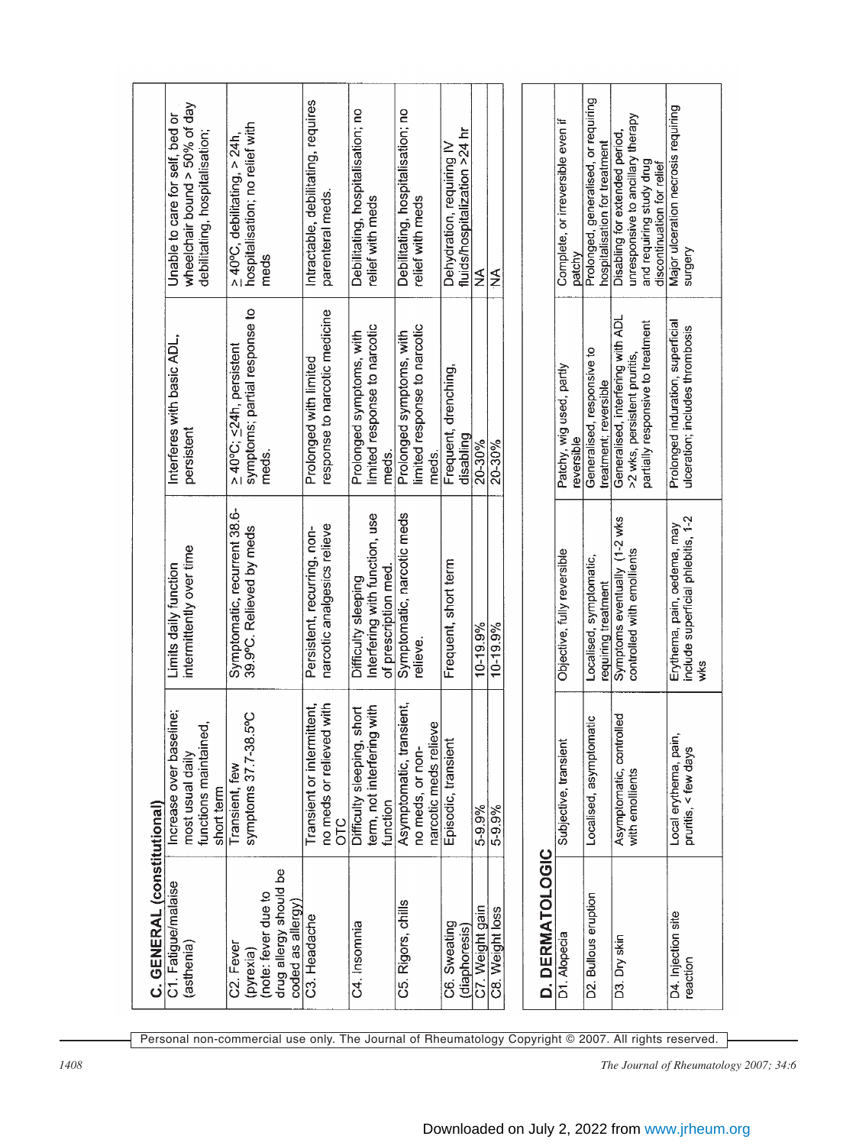| C. GENERAL (constitutional)                                                                 |                                                                                    |                                                                              |                                                                                                        |                                                                                                                               |
|---------------------------------------------------------------------------------------------|------------------------------------------------------------------------------------|------------------------------------------------------------------------------|--------------------------------------------------------------------------------------------------------|-------------------------------------------------------------------------------------------------------------------------------|
| C1. Fatigue/malaise<br>(asthenia)                                                           | Increase over baseline;<br>functions maintained,<br>most usual daily<br>short term | intermittently over time<br>Limits daily function                            | Interferes with basic ADL.<br>persistent                                                               | wheelchair bound $>$ 50% of day<br>Unable to care for self, bed or<br>debilitating, hospitalisation;                          |
| drug allergy should be<br>(note: fever due to<br>coded as allergy<br>C2. Fever<br>(pyrexia) | 5°C<br>symptoms 37.7-38<br>Transient, few                                          | Symptomatic, recurrent 38.6-<br>39.9°C. Relieved by meds                     | symptoms; partial response to<br>≥40°C; <24h, persistent<br>meds.                                      | hospitalisation; no relief with<br>$\geq 40^{\circ}$ C, debilitating, > 24h,<br>meds                                          |
| C3. Headache                                                                                | no meds or relieved with<br>Transient or intermittent,<br><b>DLC</b>               | narcotic analgesics relieve<br>Persistent, recurring, non-                   | response to narcotic medicine<br>Prolonged with limited                                                | Intractable, debilitating, requires<br>parenteral meds.                                                                       |
| C4. Insomnia                                                                                | term, not interfering with<br>short<br>Difficulty sleeping,<br>function            | Interfering with function, use<br>of prescription med<br>Difficulty sleeping | limited response to narcotic<br>Prolonged symptoms, with<br>meds.                                      | Debilitating, hospitalisation; no<br>relief with meds                                                                         |
| C5. Rigors, chills                                                                          | Asymptomatic, transient,<br>narcotic meds relieve<br>no meds, or non-              | Symptomatic, narcotic meds<br>relleve.                                       | limited response to narcotic<br>Prolonged symptoms, with<br>meds.                                      | Debilitating, hospitalisation; no<br>relief with meds                                                                         |
| C6. Sweating<br>(diaphoresis)                                                               | Episodic, transient                                                                | Frequent, short term                                                         | Frequent, drenching,<br>disabling                                                                      | fluids/hospitalization >24 hr<br>Dehydration, requiring IV                                                                    |
| C7. Weight gain                                                                             | 5-9.9%                                                                             | 10-19.9%                                                                     | 20-30%                                                                                                 | ≨                                                                                                                             |
| D. DERMATOLOGIC<br>C8. Weight loss                                                          | 5-9.9%                                                                             | 10-19.9%                                                                     | 20-30%                                                                                                 | ≨                                                                                                                             |
| D1. Alopecia                                                                                | Subjective, transient                                                              | Objective, fully reversible                                                  | Patchy, wig used, partly<br>reversible                                                                 | Complete, or irreversible even if<br>patchy                                                                                   |
| D2. Bullous eruption                                                                        | Localised, asymptomatic                                                            | Localised, symptomatic,<br>requiring treatment                               | Generalised, responsive to<br>treatment; reversible                                                    | Prolonged, generalised, or requiring<br>hospitalisation for treatment                                                         |
| D3. Dry skin                                                                                | Asymptomatic, controlled<br>with emollients                                        | Symptoms eventually (1-2 wks<br>controlled with emollients                   | Generalised, interfering with ADL<br>partially responsive to treatment<br>>2 wks, persistent pruritis, | unresponsive to ancillary therapy<br>Disabling for extended period,<br>and requiring study drug<br>discontinuation for relief |
| D4. Injection site<br>reaction                                                              | Local erythema, pair<br>pruritis, < few days                                       | include superficial phlebitis, 1-2<br>Erythema, pain, oedema, may<br>wks     | Prolonged induration, superficial<br>ulceration; includes thrombosis                                   | Major ulceration necrosis requiring<br>surgery                                                                                |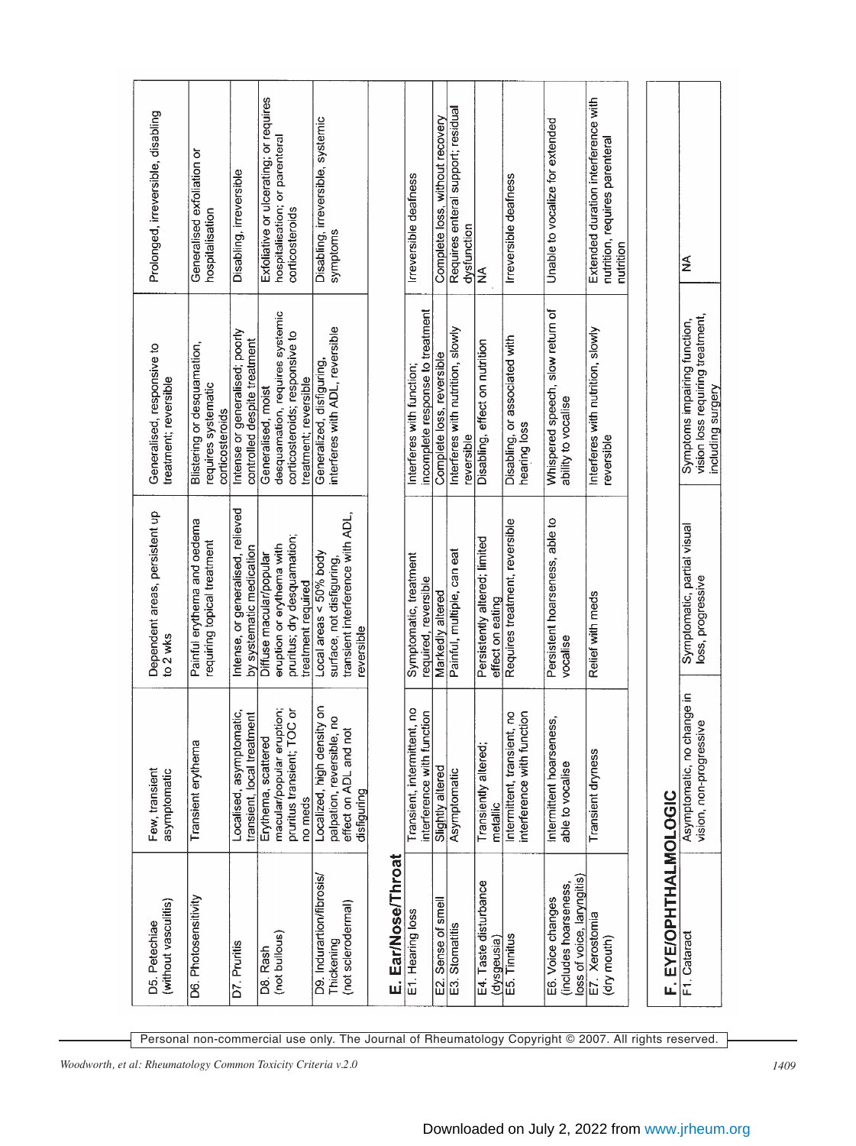| (without vasculitis)<br>D5. Petechiae                                    | Few, transient<br>asymptomatic                                                                  | Dependent areas, persistent up<br>to 2 wks                                                                | Generalised, responsive to<br>treatment; reversible                                                              | Prolonged, irreversible, disabling                                                          |
|--------------------------------------------------------------------------|-------------------------------------------------------------------------------------------------|-----------------------------------------------------------------------------------------------------------|------------------------------------------------------------------------------------------------------------------|---------------------------------------------------------------------------------------------|
| D6. Photosensitivity                                                     | Transient erythema                                                                              | Painful erythema and oedema<br>requiring topical treatment                                                | Blistering or desquamation,<br>requires systematic<br>corticosteroids                                            | Generalised exfoliation or<br>hospitalisation                                               |
| D7. Pruritis                                                             | Localised, asymptomatic,<br>transient, local treatment                                          | Intense, or generalised, relieved<br>by systematic medication                                             | Intense or generalised; poorly<br>controlled despite treatment                                                   | Disabling, irreversible                                                                     |
| (not bullous)<br>D8. Rash                                                | macular/popular eruption;<br>pruritus transient; TOC or<br>Erythema, scattered<br>no meds       | pruritus; dry desquamation;<br>eruption or erythema with<br>Diffuse macular/popular<br>treatment required | desquamation, requires systemic<br>corticosteroids; responsive to<br>treatment; reversible<br>Generalised, moist | Exfoliative or ulcerating; or requires<br>hospitalisation; or parenteral<br>corticosteroids |
| D9. Indurartion/fibrosis/<br>(not sclerodermal)<br>Thickening            | Localized, high density on<br>palpation, reversible, no<br>effect on ADL and not<br>disfiguring | transient interference with ADL,<br>Local areas < 50% body<br>surface, not disfiguring,<br>reversible     | interferes with ADL, reversible<br>Generalized, disfiguring,                                                     | Disabling, irreversible, systemic<br>symptoms                                               |
| E. Ear/Nose/Throat                                                       |                                                                                                 |                                                                                                           |                                                                                                                  |                                                                                             |
| E1. Hearing loss                                                         | Transient, intermittent, no<br>interference with function                                       | Symptomatic, treatment<br>required, reversible                                                            | incomplete response to treatment<br>Interferes with function;                                                    | Irreversible deafness                                                                       |
| E2. Sense of smell                                                       | Slightly altered                                                                                | Markedly altered                                                                                          | Complete loss, reversible                                                                                        | Complete loss, without recovery                                                             |
| E3. Stomatitis                                                           | Asymptomatic                                                                                    | Painful, multiple, can eat                                                                                | Interferes with nutrition, slowly<br>reversible                                                                  | Requires enteral support; residual<br>dysfunction                                           |
| E4. Taste disturbance<br>(dysgeusia)                                     | Transiently altered;<br>metallic                                                                | Persistently altered; limited<br>effect on eating                                                         | Disabling, effect on nutrition                                                                                   | ≨                                                                                           |
| E5. Tinnitus                                                             | interference with function<br>Intermittent, transient, no                                       | Requires treatment, reversible                                                                            | Disabling, or associated with<br>hearing loss                                                                    | Irreversible deafness                                                                       |
| loss of voice, laryngitis)<br>(includes hoarseness,<br>E6. Voice changes | ess,<br>Intermittent hoarsen<br>able to vocalise                                                | Persistent hoarseness, able to<br>vocalise                                                                | Whispered speech, slow return of<br>ability to vocalise                                                          | Unable to vocalize for extended                                                             |
| E7. Xerostomia<br>(dry mouth)                                            | Transient dryness                                                                               | Relief with meds                                                                                          | Interferes with nutrition, slowly<br>reversible                                                                  | Extended duration interference with<br>nutrition, requires parenteral<br>nutrition          |
| F. EYE/OPHTHALMOLOGIC                                                    |                                                                                                 |                                                                                                           |                                                                                                                  |                                                                                             |
| F1 Cataract                                                              | Asymptomatic, no change in<br>vision, non-progressive                                           | Symptomatic, partial visual<br>loss, progressive                                                          | vision loss requiring treatment,<br>Symptoms impairing function,<br>including surgery                            | ≨                                                                                           |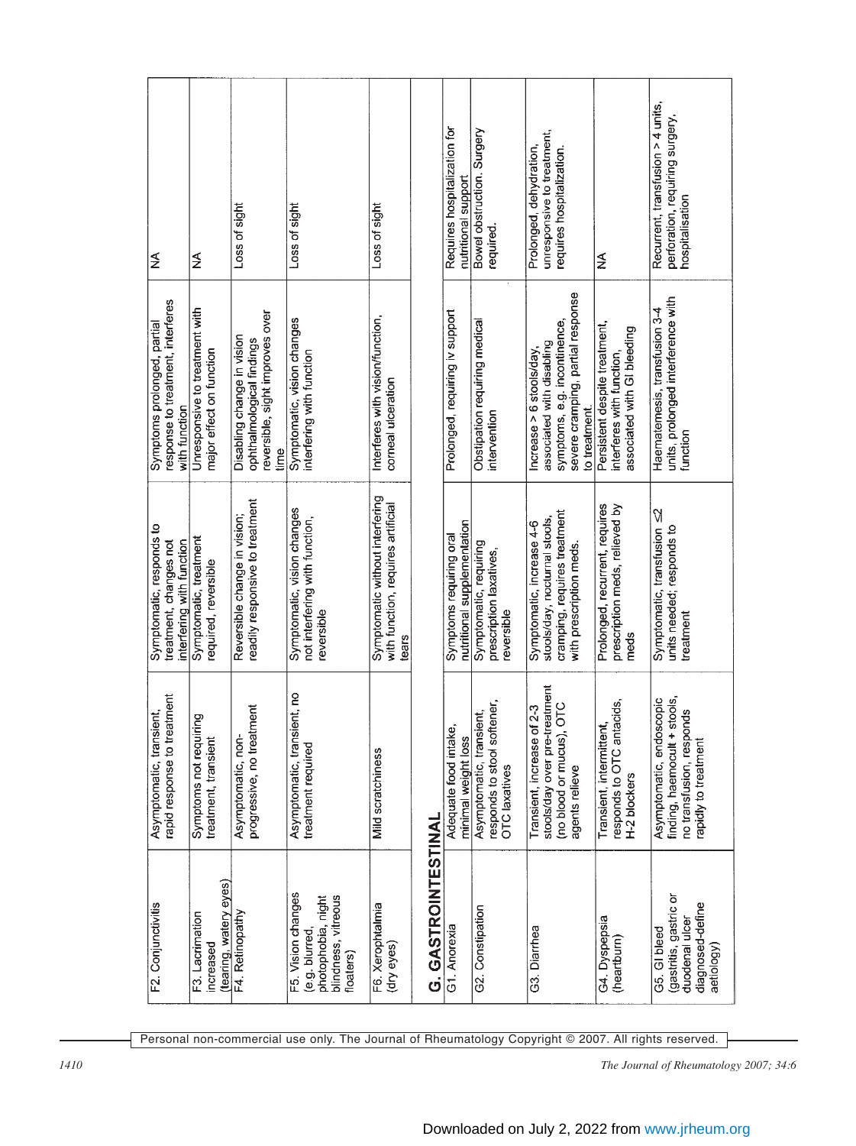| F2. Conjunctivitis                                                                             | rapid response to treatment<br>Asymptomatic, transient,                                                        | Symptomatic, responds to<br>treatment, changes not<br>interfering with function                                       | response to treatment, interferes<br>Symptoms prolonged, partial<br>with function                                                             | ≨                                                                                       |
|------------------------------------------------------------------------------------------------|----------------------------------------------------------------------------------------------------------------|-----------------------------------------------------------------------------------------------------------------------|-----------------------------------------------------------------------------------------------------------------------------------------------|-----------------------------------------------------------------------------------------|
| (tearing, watery eyes)<br>F3. Lacrimation<br>increased                                         | Symptoms not requiring<br>treatment, transient                                                                 | Symptomatic, treatment<br>required, reversible                                                                        | Unresponsive to treatment with<br>major effect on function                                                                                    | ≨                                                                                       |
| F4. Retinopathy                                                                                | progressive, no treatment<br>Asymptomatic, non-                                                                | readily responsive to treatment<br>Reversible change in vision;                                                       | reversible, sight improves over<br>Disabling change in vision<br>ophthalmological findings<br>time                                            | Loss of sight                                                                           |
| F5. Vision changes<br>blindness, vitreous<br>photophobia, night<br>(e.g. blurred,<br>floaters) | Asymptomatic, transient, no<br>treatment required                                                              | Symptomatic, vision changes<br>not interfering with function,<br>reversible                                           | Symptomatic, vision changes<br>interfering with function                                                                                      | Loss of sight                                                                           |
| F6. Xerophtalmia<br>(dry eyes)                                                                 | Mild scratchiness                                                                                              | Symptomatic without interfering<br>with function, requires artificial<br>tears                                        | Interferes with vision/function,<br>corneal ulceration                                                                                        | Loss of sight                                                                           |
| G. GASTROINTESTINAL                                                                            |                                                                                                                |                                                                                                                       |                                                                                                                                               |                                                                                         |
| G1. Anorexia                                                                                   | Adequate food intake,<br>minimal weight loss                                                                   | nutritional supplementation<br>Symptoms requiring oral                                                                | Prolonged, requiring iv support                                                                                                               | Requires hospitalization for<br>nutritional support                                     |
| G2. Constipation                                                                               | responds to stool softener,<br>Asymptomatic, transient,<br>OTC laxatives                                       | Symptomatic, requiring<br>prescription laxatives,<br>reversible                                                       | Obstipation requiring medical<br>intervention                                                                                                 | Bowel obstruction. Surgery<br>required.                                                 |
| G3. Diarrhea                                                                                   | stools/day over pre-treatment<br>(no blood or mucus), OTC<br>$of 2-3$<br>Transient, increase<br>agents relieve | cramping, requires treatment<br>stools/day, nocturnal stools,<br>Symptomatic, increase 4-6<br>with prescription meds. | severe cramping, partial response<br>symptoms, e.g. incontinence,<br>associated with disabling<br>Increase $> 6$ stools/day,<br>to treatment. | unresponsive to treatment,<br>Prolonged, dehydration,<br>requires hospitalization.      |
| G4. Dyspepsia<br>(heartburn)                                                                   | itacids,<br>Transient, intermittent,<br>responds to OTC ar<br>H-2 blockers                                     | Prolonged, recurrent, requires<br>prescription meds, relieved by<br>meds                                              | Persistent despite treatment,<br>associated with GI bleeding<br>interferes with function,                                                     | ≨                                                                                       |
| (gastritis, gastric or<br>diagnosed-define<br>duodenal ulcer<br>G5. GI bleed<br>aetiology)     | stools,<br>Asymptomatic, endoscopic<br>no transfusion, responds<br>finding, haemocult +<br>apidly to treatment | Symptomatic, transfusion <2<br>units needed; responds to<br>treatment                                                 | units, prolonged interference with<br>Haematemesis, transfusion 3-4<br>function                                                               | Recurrent, transfusion > 4 units,<br>perforation, requiring surgery,<br>hospitalisation |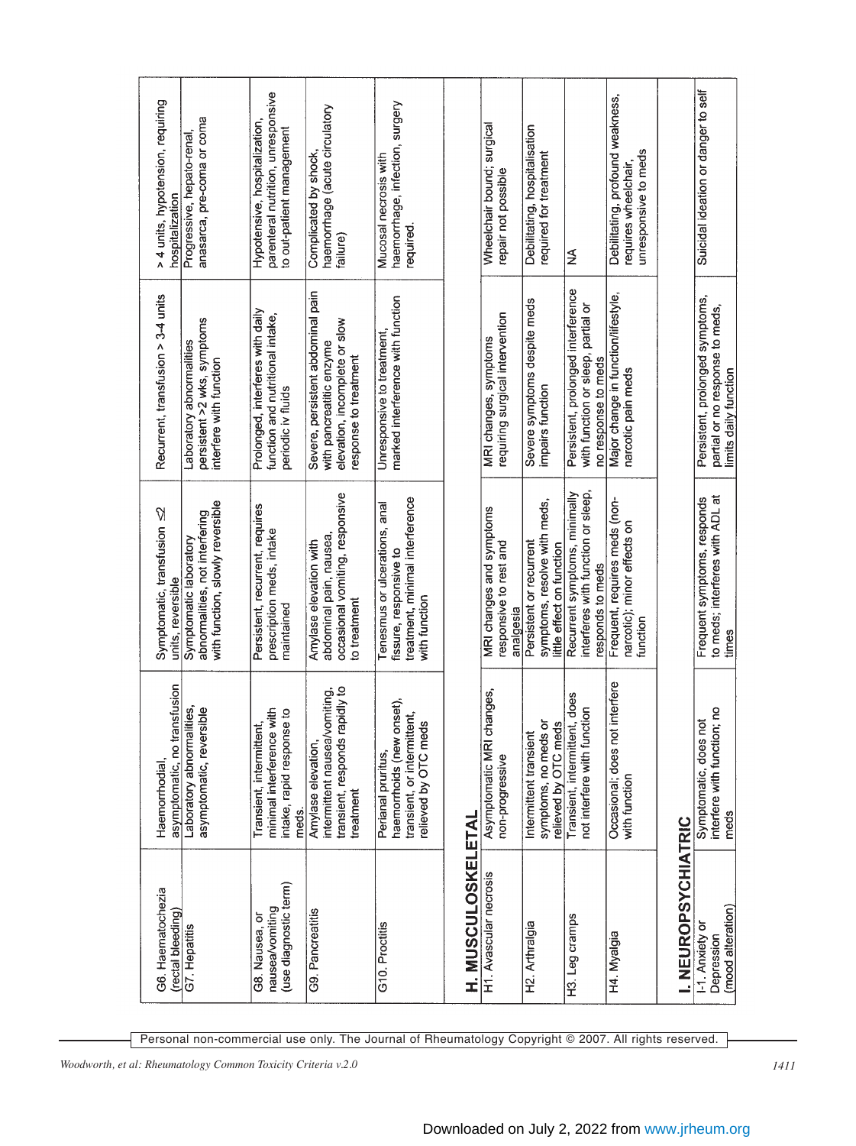| G6. Haematochezia<br>(rectal bleeding)                     | asymptomatic, no transfusion<br>Haemorrhodial,                                                         | Symptomatic, transfusion <2<br>units, reversible                                                            | Recurrent, transfusion > 3-4 units                                                                                      | > 4 units, hypotension, requiring<br>hospitalization                                             |
|------------------------------------------------------------|--------------------------------------------------------------------------------------------------------|-------------------------------------------------------------------------------------------------------------|-------------------------------------------------------------------------------------------------------------------------|--------------------------------------------------------------------------------------------------|
| G7. Hepatitis                                              | asymptomatic, reversible<br>Laboratory abnormalities,                                                  | with function, slowly reversible<br>abnormalities, not interfering<br>Symptomatic laboratory                | persistent >2 wks, symptoms<br>Laboratory abnormalities<br>interfere with function                                      | anasarca, pre-coma or coma<br>Progressive, hepato-renal,                                         |
| (use diagnostic term)<br>nausea/vomiting<br>G8. Nausea, or | minimal interference with<br>intake, rapid response to<br>Transient, intermittent,<br>meds.            | Persistent, recurrent, requires<br>prescription meds, intake<br>maintained                                  | Prolonged, interferes with daily<br>function and nutritional intake,<br>periodic iv fluids                              | parenteral nutrition, unresponsive<br>Hypotensive, hospitalization,<br>to out-patient management |
| G9. Pancreatitis                                           | transient, responds rapidly to<br>intermittent nausea/vomiting,<br>Amylase elevation,<br>treatment     | occasional vomiting, responsive<br>abdominal pain, nausea,<br>Amylase elevation with<br>to treatment        | Severe, persistent abdominal pain<br>elevation, incomplete or slow<br>with pancreatitic enzyme<br>response to treatment | haemorrhage (acute circulatory<br>Complicated by shock,<br>failure)                              |
| G10. Proctitis                                             | haemorrhoids (new onset),<br>transient, or intermittent,<br>relieved by OTC meds<br>Perianal pruritus, | treatment, minimal interference<br>Tenesmus or ulcerations, anal<br>fissure, responsive to<br>with function | marked interference with function<br>Unresponsive to treatment,                                                         | haemorrhage, infection, surgery<br>Mucosal necrosis with<br>required.                            |
| H. MUSCULOSKELETAL                                         |                                                                                                        |                                                                                                             |                                                                                                                         |                                                                                                  |
| H1. Avascular necrosis                                     | Asymptomatic MRI changes,<br>non-progressive                                                           | MRI changes and symptoms<br>responsive to rest and<br>analgesia                                             | requiring surgical intervention<br>MRI changes, symptoms                                                                | Wheelchair bound; surgical<br>repair not possible                                                |
| H2. Arthralgia                                             | symptoms, no meds or<br>relieved by OTC meds<br>Intermittent transient                                 | symptoms, resolve with meds,<br>Persistent or recurrent<br>ittle effect on function                         | Severe symptoms despite meds<br>impairs function                                                                        | Debilitating, hospitalisation<br>required for treatment                                          |
| H3. Leg cramps                                             | Transient, intermittent, does<br>not interfere with function                                           | Recurrent symptoms, minimally<br>interferes with function or sleep<br>responds to meds                      | Persistent, prolonged interference<br>with function or sleep, partial or<br>no response to meds                         | ≨                                                                                                |
| H4. Myalgia                                                | t interfere<br>Occasional; does not<br>with function                                                   | Frequent, requires meds (non-<br>narcotic); minor effects on<br>function                                    | Major change in function/lifestyle,<br>narcotic pain meds                                                               | Debilitating, profound weakness,<br>unresponsive to meds<br>requires wheelchair,                 |
| I. NEUROPSYCHIATRIC                                        |                                                                                                        |                                                                                                             |                                                                                                                         |                                                                                                  |
| (mood alteration)<br>1-1. Anxiety or<br>Depression         | interfere with function; no<br>Symptomatic, does not<br>meds                                           | to meds; interferes with ADL at<br>Frequent symptoms, responds<br>times                                     | Persistent, prolonged symptoms,<br>partial or no response to meds,<br>limits daily function                             | Suicidal ideation or danger to self                                                              |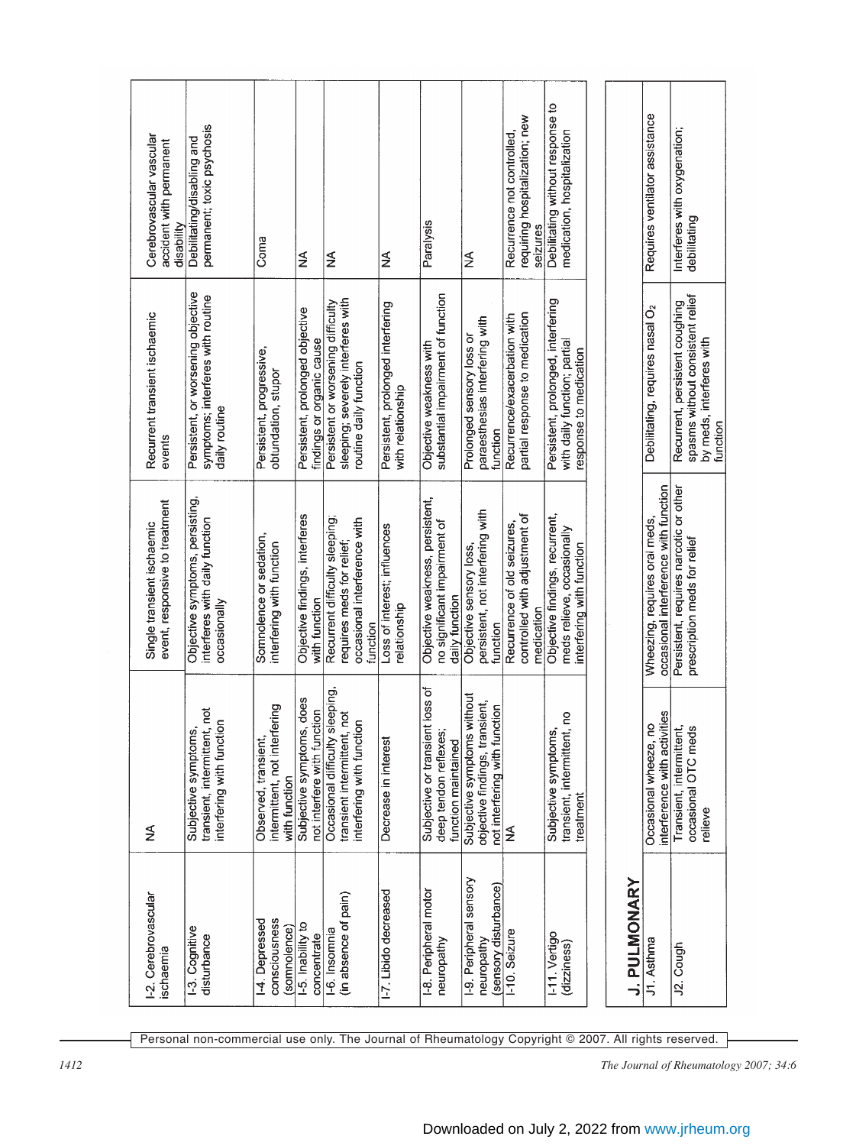*1412 The Journal of Rheumatology 2007; 34:6*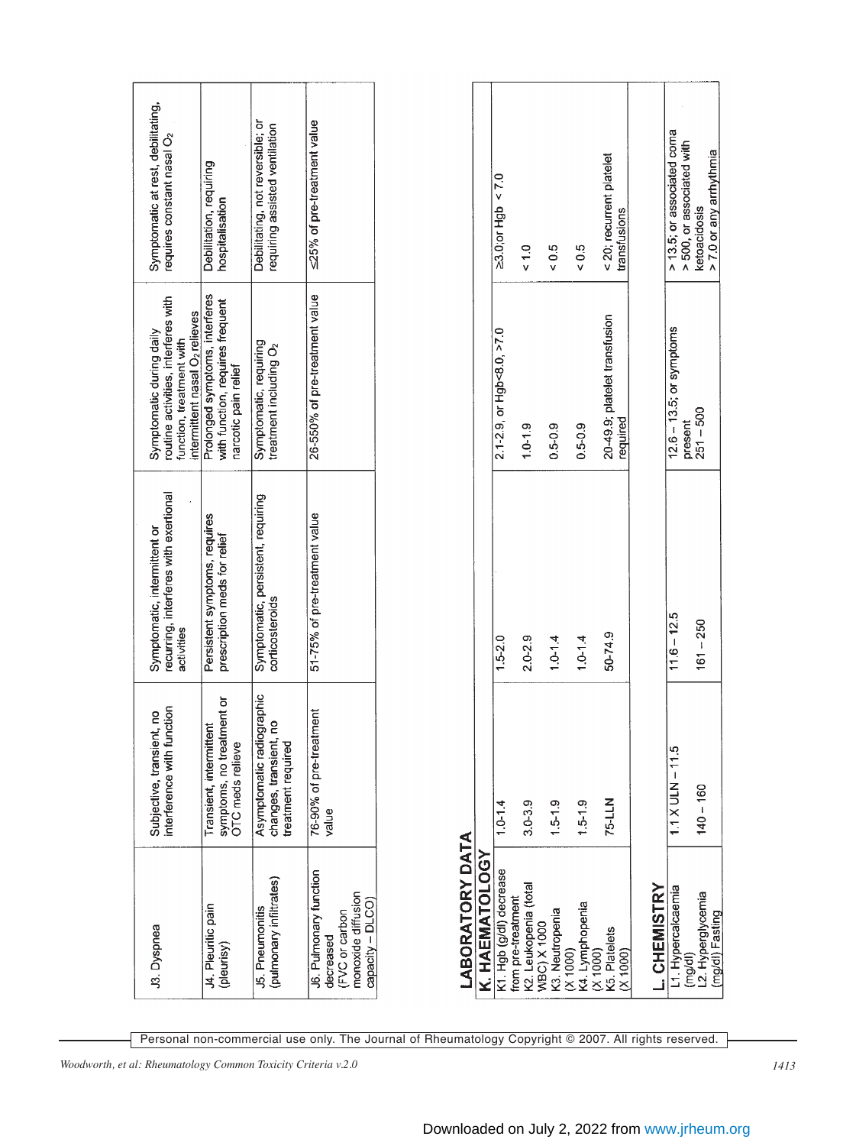| Symptomatic at rest, debilitating,<br>requires constant nasal O <sub>2</sub>                                                              | Debilitation, requiring<br>hospitalisation                                                 | Debilitating, not reversible; or<br>requiring assisted ventilation          | ≤25% of pre-treatment value                                                                     |
|-------------------------------------------------------------------------------------------------------------------------------------------|--------------------------------------------------------------------------------------------|-----------------------------------------------------------------------------|-------------------------------------------------------------------------------------------------|
| routine activities, interferes with<br>intermittent nasal O <sub>2</sub> relieves<br>Symptomatic during daily<br>function, treatment with | Prolonged symptoms, interferes<br>with function, requires frequent<br>narcotic pain relief | Symptomatic, requiring<br>treatment including O <sub>2</sub>                | 26-550% of pre-treatment value                                                                  |
| recurring, interferes with exertional<br>Symptomatic, intermittent or<br>activities                                                       | Persistent symptoms, requires<br>prescription meds for relief                              | Symptomatic, persistent, requiring<br>corticosteroids                       | 51-75% of pre-treatment value                                                                   |
| interference with function<br>Subjective, transient, no                                                                                   | symptoms, no treatment or<br>Transient, intermittent<br>OTC meds relieve                   | Asymptomatic radiographic<br>2<br>changes, transient,<br>treatment required | 76-90% of pre-treatment<br>value                                                                |
| J3. Dyspnea                                                                                                                               | J4. Pleuritic pain<br>(pleurisy)                                                           | (pulmonary infiltrates)<br>J5. Pneumonitis                                  | J6. Pulmonary function<br>monoxide diffusion<br>capacity - DLCO)<br>(FVC or carbon<br>decreased |

| <b>LABORATORY DATA</b>                                     |                         |               |                                           |                                                         |
|------------------------------------------------------------|-------------------------|---------------|-------------------------------------------|---------------------------------------------------------|
| K. HAEMATOLOGY                                             |                         |               |                                           |                                                         |
| K1 Hgb (g/dl) decrease                                     | $1.0 - 1.4$             | $1.5 - 2.0$   | 2.1-2.9, or Hgb<8.0, >7.0                 | $\geq$ 3.0; or Hgb < 7.0                                |
| K2. Leukopenia (total<br>from pre-treatment<br>WBC) X 1000 | $3.0 - 3.9$             | $2.0 - 2.9$   | $1.0 - 1.9$                               | $\frac{0}{5}$                                           |
| K3. Neutropenia<br>  (X 1000)<br>  K4. Lymphopenia         | $1.5 - 1.9$             | $1.0 - 1.4$   | $0.5 - 0.9$                               | 0.5                                                     |
|                                                            | $1.5 - 1.9$             | $1.0 - 1.4$   | $0.5 - 0.9$                               | 0.5                                                     |
| K5. Platelets<br>(X1000)<br>(X 1000)                       | 75-LLN                  | 50-74.9       | 20-49.9; platelet transfusion<br>required | < 20; recurrent platelet<br>transfusions                |
| CHEMISTRY                                                  |                         |               |                                           |                                                         |
| L1. Hypercalcaemia                                         | $1.1 \times ULN - 11.5$ | $11.6 - 12.5$ | $12.6 - 13.5$ ; or symptoms               | > 13.5; or associated coma<br>> 500, or associated with |
| 2. Hyperglycemia<br>(mg/dl) Fasting<br>(mq/d)              | $140 - 160$             | $161 - 250$   | present<br>251 – 500                      | > 7.0 or any arrhythmia<br>ketoacidosis                 |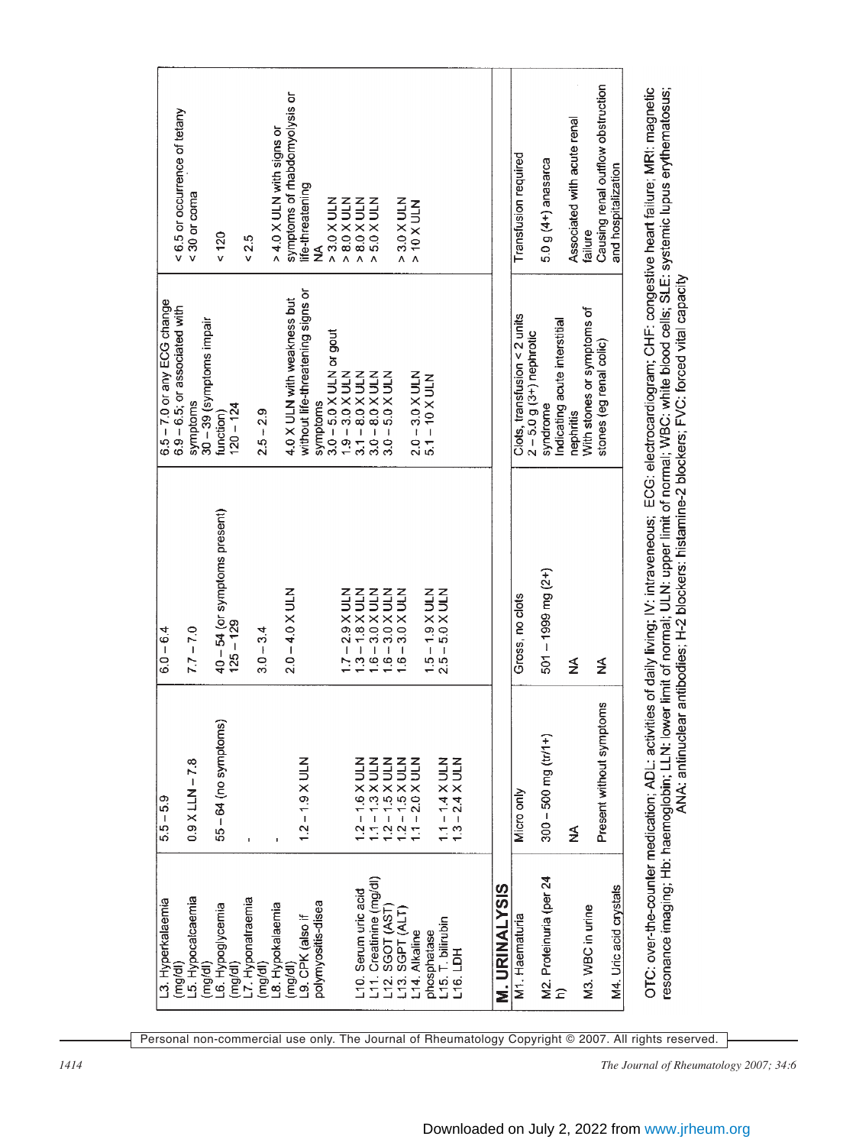| L3. Hyperkalaemia                                             | $5.5 - 5.9$                                                                                                                    | $6.0 - 6.4$                                                                                                                                                                                                                                           | 6.5 - 7.0 or any ECG change                                                                                                              |                                                                                                                                   |
|---------------------------------------------------------------|--------------------------------------------------------------------------------------------------------------------------------|-------------------------------------------------------------------------------------------------------------------------------------------------------------------------------------------------------------------------------------------------------|------------------------------------------------------------------------------------------------------------------------------------------|-----------------------------------------------------------------------------------------------------------------------------------|
| 5. Hypocalcaemia<br>(mg/dl)                                   | $0.9$ X LLN $-7.8$                                                                                                             | $7.7 - 7.0$                                                                                                                                                                                                                                           | 6.9 - 6.5; or associated with<br>symptoms                                                                                                | < 6.5 or occurrence of tetany<br>$<$ 30 or coma                                                                                   |
| (mg/dl)                                                       |                                                                                                                                |                                                                                                                                                                                                                                                       | 30 - 39 (symptoms impair                                                                                                                 |                                                                                                                                   |
| -6. Hypoglycemia<br>(mq/dl)                                   | 55 – 64 (no symptoms)                                                                                                          | 40 - 54 (or symptoms present)<br>$125 - 129$                                                                                                                                                                                                          | $120 - 124$<br>function)                                                                                                                 | 120                                                                                                                               |
| L7. Hyponatraemia                                             | $\bar{1}$                                                                                                                      |                                                                                                                                                                                                                                                       |                                                                                                                                          | 0.5                                                                                                                               |
| (mg/d)                                                        |                                                                                                                                | $3.0 - 3.4$                                                                                                                                                                                                                                           | $2.5 - 2.9$                                                                                                                              |                                                                                                                                   |
| 8. Hypokalaemia                                               |                                                                                                                                |                                                                                                                                                                                                                                                       |                                                                                                                                          | > 4.0 X ULN with signs or                                                                                                         |
| (mg/d)                                                        |                                                                                                                                | $2.0 - 4.0 \times ULN$                                                                                                                                                                                                                                | 4.0 X ULN with weakness but                                                                                                              | symptoms of rhabdomyolysis or                                                                                                     |
| .9. CPK (also if                                              | $1.2 - 1.9$ X ULN                                                                                                              |                                                                                                                                                                                                                                                       | without life-threatening signs or                                                                                                        | life-threatening                                                                                                                  |
| polymyositis-disea                                            |                                                                                                                                |                                                                                                                                                                                                                                                       | symptoms                                                                                                                                 | ≸                                                                                                                                 |
|                                                               |                                                                                                                                |                                                                                                                                                                                                                                                       | $3.0 - 5.0$ X ULN or gout                                                                                                                | $\begin{array}{r}\n 2.30 \times \text{ULN} \\  > 8.0 \times \text{ULN} \\  \text{MOLN} \\  > 8.0 \times \text{ULN}\n \end{array}$ |
| L10. Serum uric acid                                          | $1.2 - 1.6 \times ULN$<br>$1.1 - 1.3 \times ULN$<br>$1.2 - 1.5 \times ULN$<br>$1.2 - 1.5 \times ULN$<br>$1.1 - 2.0 \times ULN$ | $1.7 - 2.9 \times \text{ULN}$<br>$1.3 - 1.8 \times \text{ULN}$<br>$1.6 - 3.0 \times \text{ULN}$<br>$1.6 - 3.0 \times \text{ULN}$<br>$1.6 - 3.0 \times \text{ULN}$                                                                                     | $1.9 - 3.0 \times 10 \text{ N}$<br>$3.1 - 8.0 \times 10 \text{ N}$<br>$3.0 - 8.0 \times 10 \text{ N}$<br>$3.0 - 5.0 \times 10 \text{ N}$ |                                                                                                                                   |
|                                                               |                                                                                                                                |                                                                                                                                                                                                                                                       |                                                                                                                                          | 5.0 X ULN                                                                                                                         |
|                                                               |                                                                                                                                |                                                                                                                                                                                                                                                       |                                                                                                                                          |                                                                                                                                   |
| L11. Creatinine (mg/dl)<br>L12. SGOT (AST)<br>L13. SGPT (ALT) |                                                                                                                                |                                                                                                                                                                                                                                                       |                                                                                                                                          | $> 3.0$ X ULN<br>$> 10$ X ULN                                                                                                     |
| L14. Alkaline                                                 |                                                                                                                                |                                                                                                                                                                                                                                                       | $2.0 - 3.0$ X ULN<br>5.1 – 10 X ULN                                                                                                      |                                                                                                                                   |
| phosphatase                                                   |                                                                                                                                | $1.5 - 1.9$ X ULN<br>2.5 - 5.0 X ULN                                                                                                                                                                                                                  |                                                                                                                                          |                                                                                                                                   |
| L15. T. bilirubin                                             |                                                                                                                                |                                                                                                                                                                                                                                                       |                                                                                                                                          |                                                                                                                                   |
| $-16$ . LDH                                                   | 1.1 – 1.4 X ULN<br>1.3 – 2.4 X ULN                                                                                             |                                                                                                                                                                                                                                                       |                                                                                                                                          |                                                                                                                                   |
|                                                               |                                                                                                                                |                                                                                                                                                                                                                                                       |                                                                                                                                          |                                                                                                                                   |
| <b>M. URINALYSIS</b>                                          |                                                                                                                                |                                                                                                                                                                                                                                                       |                                                                                                                                          |                                                                                                                                   |
| M1. Haematuria                                                | Micro only                                                                                                                     | Gross, no clots                                                                                                                                                                                                                                       | Clots, transfusion < 2 units<br>$2 - 5.0$ g $(3+)$ nephrotic                                                                             | Transfusion required                                                                                                              |
| M2. Proteinuria (per 24                                       | $300 - 500$ mg (tr/1+)                                                                                                         | $501 - 1999$ mg $(2+)$                                                                                                                                                                                                                                | syndrome                                                                                                                                 | 5.0 g (4+) anasarca                                                                                                               |
|                                                               |                                                                                                                                |                                                                                                                                                                                                                                                       | Indicating acute interstitial                                                                                                            |                                                                                                                                   |
|                                                               | ≸                                                                                                                              | ≸                                                                                                                                                                                                                                                     | nephritis                                                                                                                                | Associated with acute renal                                                                                                       |
| M3. WBC in urine                                              |                                                                                                                                |                                                                                                                                                                                                                                                       | With stones or symptoms of                                                                                                               | failure                                                                                                                           |
|                                                               | Present without symptoms                                                                                                       | ≸                                                                                                                                                                                                                                                     | stones (eg renal colic)                                                                                                                  | Causing renal outflow obstruction                                                                                                 |
| M4. Uric acid crystals                                        |                                                                                                                                |                                                                                                                                                                                                                                                       |                                                                                                                                          | and hospitalization                                                                                                               |
| OTC: over-the-counter medication; ADL: activiti               |                                                                                                                                | ies of daily living; IV: intraveneous; ECG: electrocardiogram; CHF: congestive heart failure; MRI: magnetic                                                                                                                                           |                                                                                                                                          |                                                                                                                                   |
|                                                               |                                                                                                                                | resonance imaging; Hb: haemoglobin; LLN: lower limit of normal; ULN: upper limit of normal; WBC: white blood cells; SLE: systemic lupus erythematosus;<br>ANA: antinuclear antibodies; H-2 blockers: histamine-2 blockers; FVC: forced vital capacity |                                                                                                                                          |                                                                                                                                   |